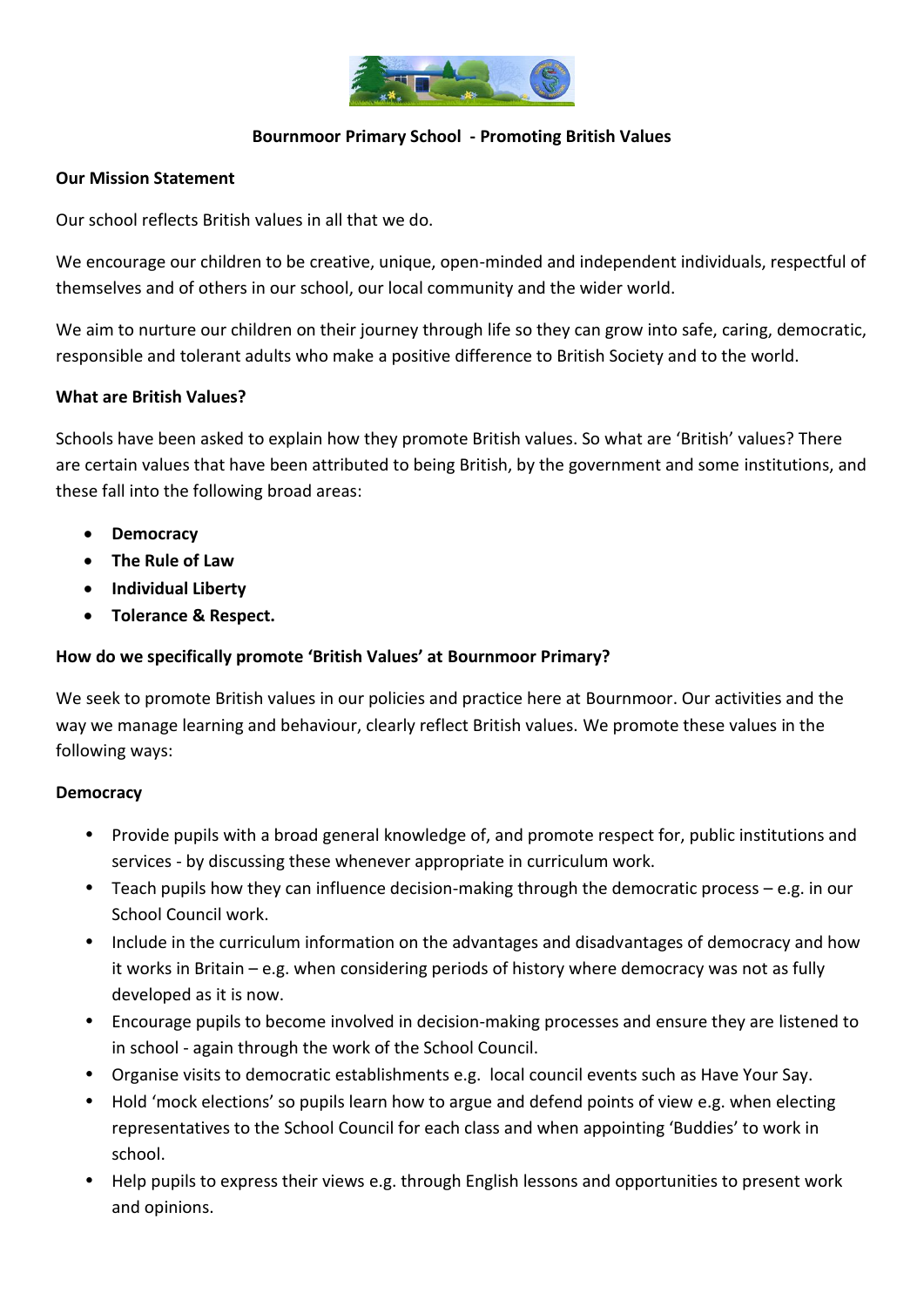

### **Bournmoor Primary School - Promoting British Values**

#### **Our Mission Statement**

Our school reflects British values in all that we do.

We encourage our children to be creative, unique, open-minded and independent individuals, respectful of themselves and of others in our school, our local community and the wider world.

We aim to nurture our children on their journey through life so they can grow into safe, caring, democratic, responsible and tolerant adults who make a positive difference to British Society and to the world.

#### **What are British Values?**

Schools have been asked to explain how they promote British values. So what are 'British' values? There are certain values that have been attributed to being British, by the government and some institutions, and these fall into the following broad areas:

- **Democracy**
- **The Rule of Law**
- **Individual Liberty**
- **Tolerance & Respect.**

## **How do we specifically promote 'British Values' at Bournmoor Primary?**

We seek to promote British values in our policies and practice here at Bournmoor. Our activities and the way we manage learning and behaviour, clearly reflect British values. We promote these values in the following ways:

#### **Democracy**

- Provide pupils with a broad general knowledge of, and promote respect for, public institutions and services - by discussing these whenever appropriate in curriculum work.
- Teach pupils how they can influence decision-making through the democratic process e.g. in our School Council work.
- Include in the curriculum information on the advantages and disadvantages of democracy and how it works in Britain – e.g. when considering periods of history where democracy was not as fully developed as it is now.
- Encourage pupils to become involved in decision-making processes and ensure they are listened to in school - again through the work of the School Council.
- Organise visits to democratic establishments e.g. local council events such as Have Your Say.
- Hold 'mock elections' so pupils learn how to argue and defend points of view e.g. when electing representatives to the School Council for each class and when appointing 'Buddies' to work in school.
- Help pupils to express their views e.g. through English lessons and opportunities to present work and opinions.